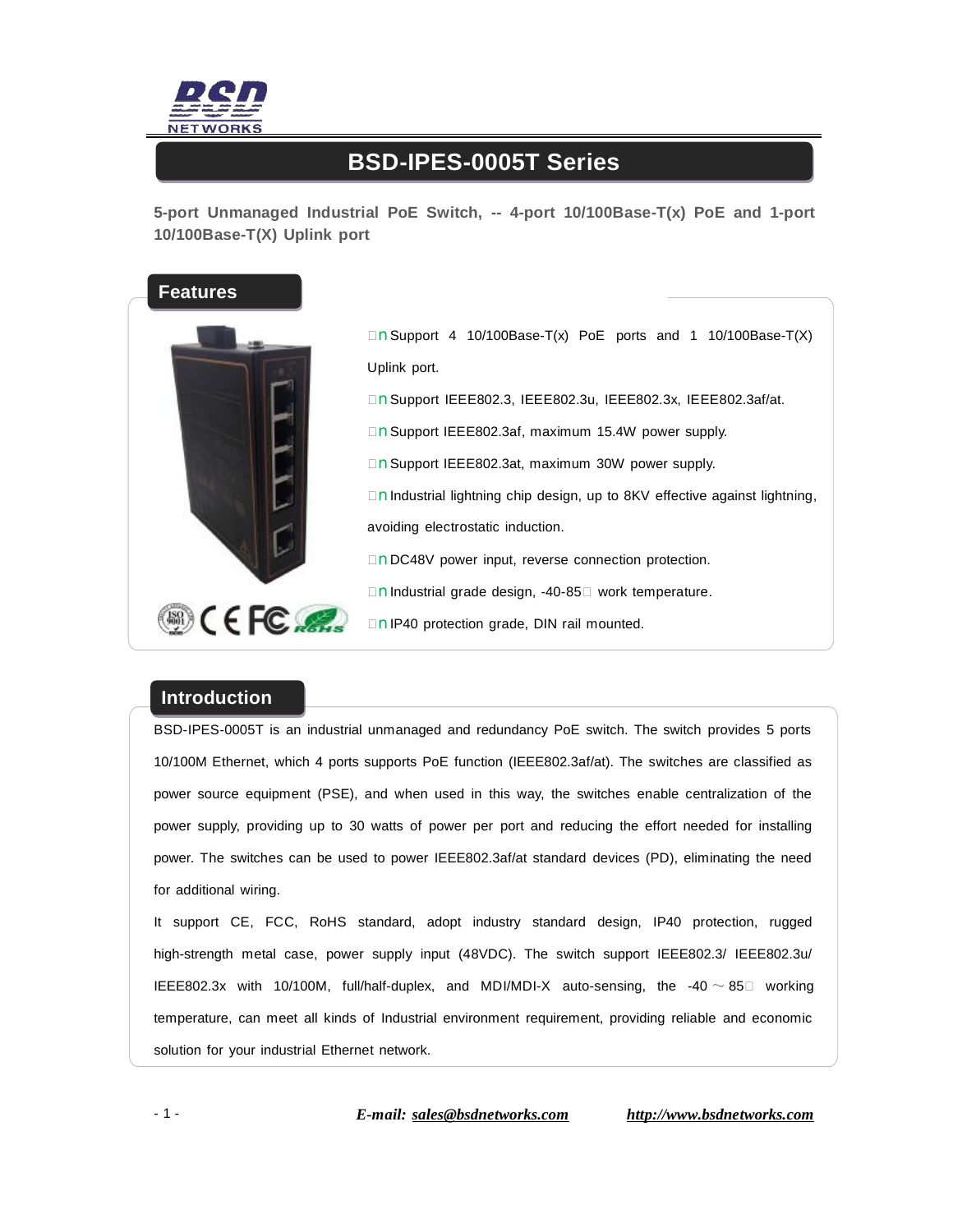

## **BSD-IPES-0005T Series**

**5-port Unmanaged Industrial PoE Switch, -- 4-port 10/100Base-T(x) PoE and 1-port 10/100Base-T(X) Uplink port** 



 $\Box$  **n**Support 4 10/100Base-T(x) PoE ports and 1 10/100Base-T(X) Uplink port. □nSupport IEEE802.3, IEEE802.3u, IEEE802.3x, IEEE802.3af/at. □nSupport IEEE802.3af, maximum 15.4W power supply. □nSupport IEEE802.3at, maximum 30W power supply. □nIndustrial lightning chip design, up to 8KV effective against lightning, avoiding electrostatic induction. □nDC48V power input, reverse connection protection. □nIndustrial grade design, -40-85□ work temperature. □nIP40 protection grade, DIN rail mounted.

## **Introduction**

BSD-IPES-0005T is an industrial unmanaged and redundancy PoE switch. The switch provides 5 ports 10/100M Ethernet, which 4 ports supports PoE function (IEEE802.3af/at). The switches are classified as power source equipment (PSE), and when used in this way, the switches enable centralization of the power supply, providing up to 30 watts of power per port and reducing the effort needed for installing power. The switches can be used to power IEEE802.3af/at standard devices (PD), eliminating the need for additional wiring.

It support CE, FCC, RoHS standard, adopt industry standard design, IP40 protection, rugged high-strength metal case, power supply input (48VDC). The switch support IEEE802.3/ IEEE802.3u/ IEEE802.3x with 10/100M, full/half-duplex, and MDI/MDI-X auto-sensing, the -40 ~ 85 $\square$  working temperature, can meet all kinds of Industrial environment requirement, providing reliable and economic solution for your industrial Ethernet network.

- 1 - *E-mail: [sales@bsdnetworks.com](mailto:sales@bsdnetworks.com) <http://www.bsdnetworks.com>*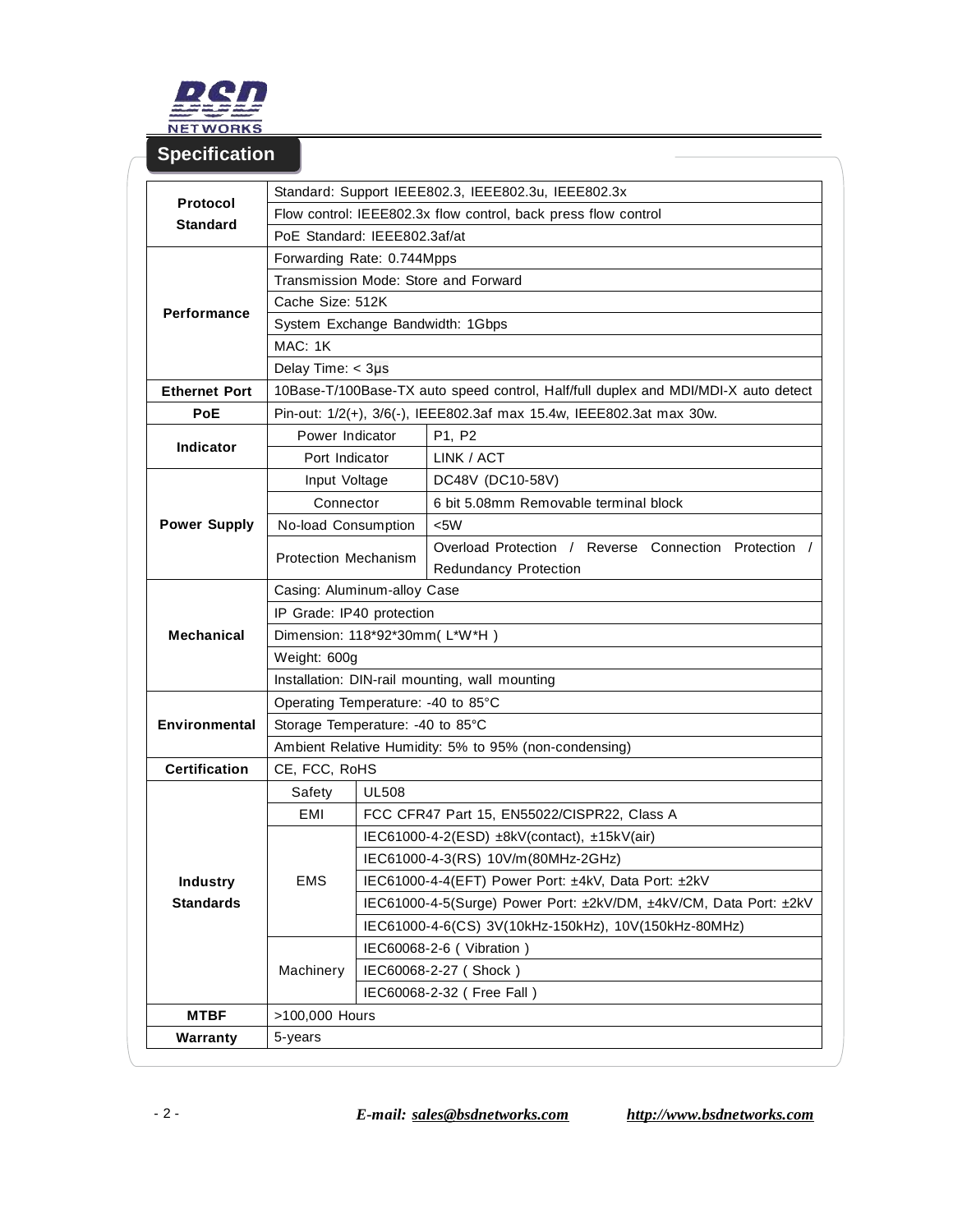

**Specification** 

## **Protocol Standard**  Standard: Support IEEE802.3, IEEE802.3u, IEEE802.3x Flow control: IEEE802.3x flow control, back press flow control PoE Standard: IEEE802.3af/at **Performance**  Forwarding Rate: 0.744Mpps Transmission Mode: Store and Forward Cache Size: 512K System Exchange Bandwidth: 1Gbps MAC: 1K Delay Time: < 3μ s **Ethernet Port** 10Base-T/100Base-TX auto speed control, Half/full duplex and MDI/MDI-X auto detect **PoE** Pin-out: 1/2(+), 3/6(-), IEEE802.3af max 15.4w, IEEE802.3at max 30w. **Indicator**  Power Indicator | P1, P2 Port Indicator | LINK / ACT **Power Supply**  Input Voltage | DC48V (DC10-58V) Connector 6 bit 5.08mm Removable terminal block No-load Consumption <5W Protection Mechanism Overload Protection / Reverse Connection Protection / Redundancy Protection **Mechanical**  Casing: Aluminum-alloy Case IP Grade: IP40 protection Dimension: 118\*92\*30mm( L\*W\*H ) Weight: 600g Installation: DIN-rail mounting, wall mounting **Environmental**  Operating Temperature: -40 to 85°C Storage Temperature: -40 to 85°C Ambient Relative Humidity: 5% to 95% (non-condensing) **Certification** CE, FCC, RoHS **Industry Standards** Safety | UL508 EMI | FCC CFR47 Part 15, EN55022/CISPR22, Class A EMS IEC61000-4-2(ESD) ±8kV(contact), ±15kV(air) IEC61000-4-3(RS) 10V/m(80MHz-2GHz) IEC61000-4-4(EFT) Power Port: ±4kV, Data Port: ±2kV IEC61000-4-5(Surge) Power Port: ±2kV/DM, ±4kV/CM, Data Port: ±2kV IEC61000-4-6(CS) 3V(10kHz-150kHz), 10V(150kHz-80MHz) Machinery IEC60068-2-6 ( Vibration ) IEC60068-2-27 ( Shock ) IEC60068-2-32 ( Free Fall ) **MTBF** >100,000 Hours **Warranty** 5-years